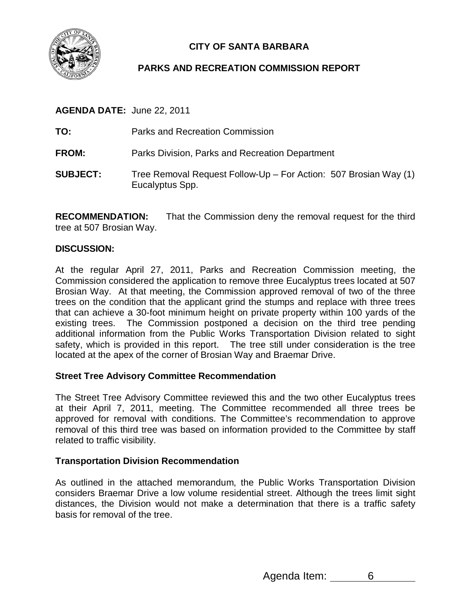

# **CITY OF SANTA BARBARA**

## **PARKS AND RECREATION COMMISSION REPORT**

### **AGENDA DATE:** June 22, 2011

- **TO:** Parks and Recreation Commission
- **FROM:** Parks Division, Parks and Recreation Department
- **SUBJECT:** Tree Removal Request Follow-Up For Action: 507 Brosian Way (1) Eucalyptus Spp.

**RECOMMENDATION:** That the Commission deny the removal request for the third tree at 507 Brosian Way.

#### **DISCUSSION:**

At the regular April 27, 2011, Parks and Recreation Commission meeting, the Commission considered the application to remove three Eucalyptus trees located at 507 Brosian Way. At that meeting, the Commission approved removal of two of the three trees on the condition that the applicant grind the stumps and replace with three trees that can achieve a 30-foot minimum height on private property within 100 yards of the existing trees. The Commission postponed a decision on the third tree pending additional information from the Public Works Transportation Division related to sight safety, which is provided in this report. The tree still under consideration is the tree located at the apex of the corner of Brosian Way and Braemar Drive.

### **Street Tree Advisory Committee Recommendation**

The Street Tree Advisory Committee reviewed this and the two other Eucalyptus trees at their April 7, 2011, meeting. The Committee recommended all three trees be approved for removal with conditions. The Committee's recommendation to approve removal of this third tree was based on information provided to the Committee by staff related to traffic visibility.

#### **Transportation Division Recommendation**

As outlined in the attached memorandum, the Public Works Transportation Division considers Braemar Drive a low volume residential street. Although the trees limit sight distances, the Division would not make a determination that there is a traffic safety basis for removal of the tree.

Agenda Item: 6